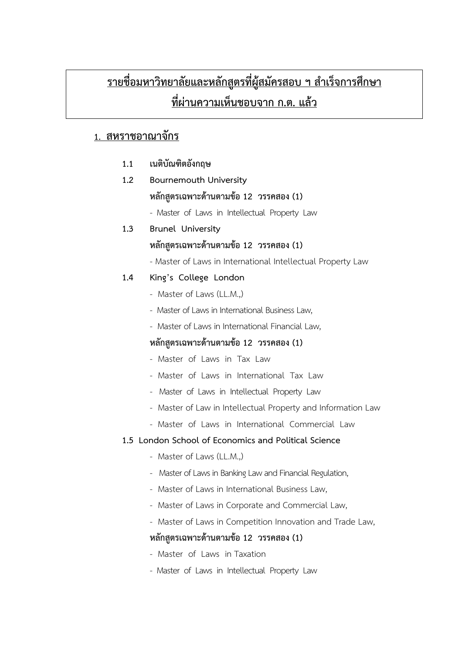# <u>รายชื่อมหาวิทยาลัยและหลักสูตรที่ผู้สมัครสอบ ฯ สำเร็จการศึกษา</u> ี ที่ผ่<u>านความเห็นชอบจาก ก.ต. แล้ว</u>

# **1. สหราชอาณาจักร**

- **1.1 เนติบัณฑิตอังกฤษ**
- **1.2 Bournemouth University**  หลักสูตรเฉพาะด้านตามข้อ 12 วรรคสอง (1)
	- Master of Laws in Intellectual Property Law
- **1.3 Brunel University** หลักสูตรเฉพาะด้านตามข้อ 12 วรรคสอง (1)
	- Master of Laws in International Intellectual Property Law
- **1.4 King's College London**
	- Master of Laws (LL.M.,)
	- Master of Laws in International Business Law,
	- Master of Laws in International Financial Law,

# **หลักสูตรเฉพาะด,านตามข,อ 12 วรรคสอง (1)**

- Master of Laws in Tax Law
- Master of Laws in International Tax Law
- Master of Laws in Intellectual Property Law
- Master of Law in Intellectual Property and Information Law
- Master of Laws in International Commercial Law

## **1.5 London School of Economics and Political Science**

- Master of Laws (LL.M.)
- Master of Laws in Banking Law and Financial Regulation,
- Master of Laws in International Business Law,
- Master of Laws in Corporate and Commercial Law,
- Master of Laws in Competition Innovation and Trade Law,

# หลักสูตรเฉพาะด้านตามข้อ 12 วรรคสอง (1)

- Master of Laws in Taxation
- Master of Laws in Intellectual Property Law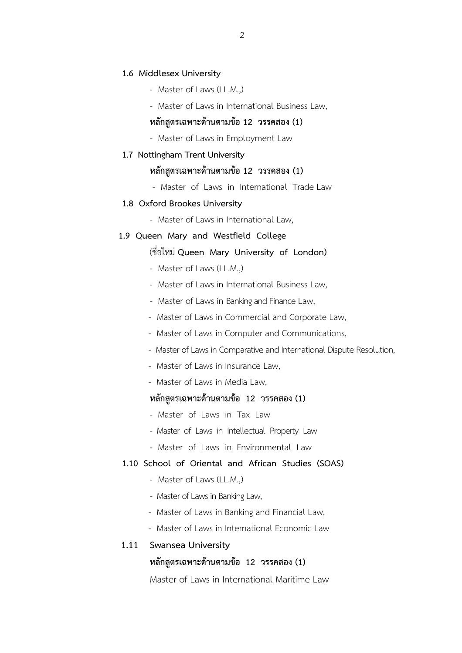### **1.6 Middlesex University**

- Master of Laws (LL.M.,)
- Master of Laws in International Business Law,

# หลักสูตรเฉพาะด้านตามข้อ 12 วรรคสอง (1)

- Master of Laws in Employment Law

#### **1.7 Nottingham Trent University**

## หลักสูตรเฉพาะด้านตามข้อ 12 วรรคสอง (1)

- Master of Laws in International Trade Law

## **1.8 Oxford Brookes University**

- Master of Laws in International Law,

## **1.9 Queen Mary and Westfield College**

## (ชื่อใหม. **Queen Mary University of London)**

- Master of Laws (LL.M.,)
- Master of Laws in International Business Law,
- Master of Laws in Banking and Finance Law,
- -Master of Laws in Commercial and Corporate Law,
- Master of Laws in Computer and Communications,
- Master of Laws in Comparative and International Dispute Resolution,
- Master of Laws in Insurance Law,
- Master of Laws in Media Law,

# หลักสูตรเฉพาะด้านตามข้อ 12 วรรคสอง (1)

- Master of Laws in Tax Law
- Master of Laws in Intellectual Property Law
- Master of Laws in Environmental Law

## **1.10 School of Oriental and African Studies (SOAS)**

- Master of Laws (LL.M.,)
- Master of Laws in Banking Law,
- Master of Laws in Banking and Financial Law,
- Master of Laws in International Economic Law

## **1.11 Swansea University**

## หลักสูตรเฉพาะด้านตามข้อ 12 วรรคสอง (1)

Master of Laws in International Maritime Law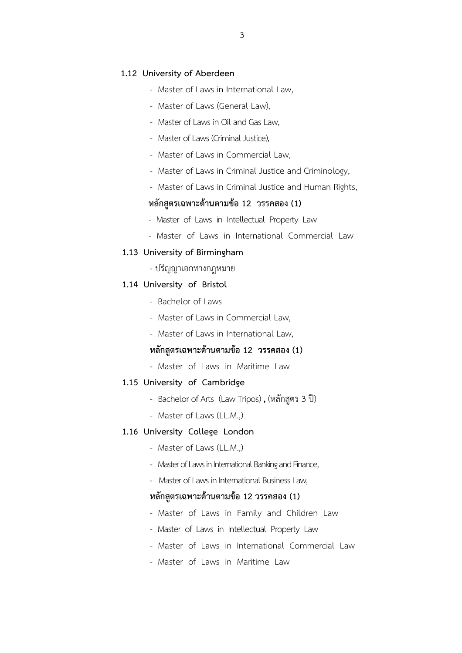### **1.12 University of Aberdeen**

- Master of Laws in International Law,
- Master of Laws (General Law),
- Master of Laws in Oil and Gas Law,
- Master of Laws (Criminal Justice),
- Master of Laws in Commercial Law,
- Master of Laws in Criminal Justice and Criminology,
- Master of Laws in Criminal Justice and Human Rights,

## หลักสูตรเฉพาะด้านตามข้อ 12 วรรคสอง (1)

- Master of Laws in Intellectual Property Law
- Master of Laws in International Commercial Law

#### **1.13 University of Birmingham**

- ปริญญาเอกทางกฎหมาย

### **1.14 University of Bristol**

- Bachelor of Laws
- Master of Laws in Commercial Law,
- Master of Laws in International Law,

## หลักสูตรเฉพาะด้านตามข้อ 12 วรรคสอง (1)

- Master of Laws in Maritime Law

#### **1.15 University of Cambridge**

- Bachelor of Arts (Law Tripos), (หลักสูตร 3 ปี)
- Master of Laws (LL.M.,)

#### **1.16 University College London**

- Master of Laws (LL.M.,)
- Master of Laws in International Banking and Finance,
- Master of Laws in International Business Law,

## **หลักสูตรเฉพาะด,านตามข,อ 12 วรรคสอง (1)**

- Master of Laws in Family and Children Law
- Master of Laws in Intellectual Property Law
- Master of Laws in International Commercial Law
- Master of Laws in Maritime Law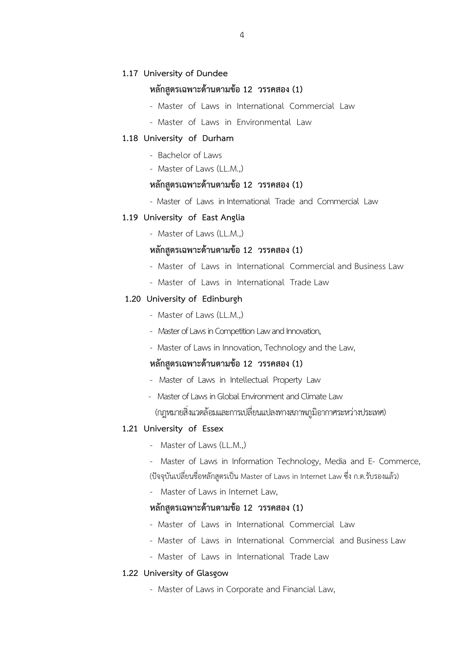## **1.17 University of Dundee**

## หลักสูตรเฉพาะด้านตามข้อ 12 วรรคสอง (1)

- Master of Laws in International Commercial Law
- Master of Laws in Environmental Law

### **1.18 University of Durham**

- Bachelor of Laws
- Master of Laws (LL.M.,)

## หลักสูตรเฉพาะด้านตามข้อ 12 วรรคสอง (1)

- Master of Laws in International Trade and Commercial Law

### **1.19 University of East Anglia**

- Master of Laws (LL.M.,)

## **หลักสูตรเฉพาะด,านตามข,อ 12 วรรคสอง (1)**

- Master of Laws in International Commercial and Business Law
- Master of Laws in International Trade Law

## **1.20 University of Edinburgh**

- Master of Laws (LL.M.,)
- Master of Laws in Competition Law and Innovation,
- Master of Laws in Innovation, Technology and the Law,

## หลักสูตรเฉพาะด้านตามข้อ 12 วรรคสอง (1)

- Master of Laws in Intellectual Property Law
- Master of Laws in Global Environment and Climate Law

 $\alpha$  (กฎหมายสิ่งแวดล้อมและการเปลี่ยนแปลงทางสภาพภูมิอากาศระหว่างประเทศ)

## **1.21 University of Essex**

- Master of Laws (LL.M.,)

- Master of Laws in Information Technology, Media and E- Commerce, (ปัจจุบันเปลี่ยนชื่อหลักสูตรเป็น Master of Laws in Internet Law ซึ่ง ก.ต.รับรองแล้ว)

- Master of Laws in Internet Law,

## **หลักสูตรเฉพาะด,านตามข,อ 12 วรรคสอง (1)**

- Master of Laws in International Commercial Law
- Master of Laws in International Commercial and Business Law
- Master of Laws in International Trade Law

## **1.22 University of Glasgow**

- Master of Laws in Corporate and Financial Law,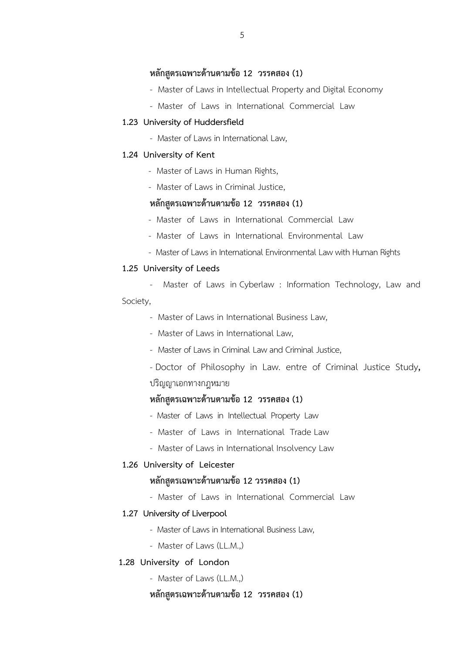## หลักสูตรเฉพาะด้านตามข้อ 12 วรรคสอง (1)

- Master of Law*s* in Intellectual Property and Digital Economy
- Master of Laws in International Commercial Law

#### **1.23 University of Huddersfield**

- Master of Laws in International Law,

#### **1.24 University of Kent**

- Master of Laws in Human Rights,
- Master of Laws in Criminal Justice,

## **หลักสูตรเฉพาะด,านตามข,อ 12 วรรคสอง (1)**

- Master of Laws in International Commercial Law
- Master of Laws in International Environmental Law
- Master of Laws in International Environmental Law with Human Rights

### **1.25 University of Leeds**

- Master of Laws in Cyberlaw : Information Technology, Law and Society,
	- Master of Laws in International Business Law,
	- Master of Laws in International Law,
	- Master of Laws in Criminal Law and Criminal Justice,
	- Doctor of Philosophy in Law. entre of Criminal Justice Study, ปริญญาเอกทางกฎหมาย

## หลักสูตรเฉพาะด้านตามข้อ 12 วรรคสอง (1)

- -Master of Laws in Intellectual Property Law
- Master of Laws in International Trade Law
- Master of Laws in International Insolvency Law

#### **1.26 University of Leicester**

## **หลักสูตรเฉพาะด,านตามข,อ 12 วรรคสอง (1)**

- Master of Laws in International Commercial Law

### **1.27 University of Liverpool**

- Master of Laws in International Business Law,
- Master of Laws (LL.M.,)

## **1.28 University of London**

- Master of Laws (LL.M.,)

### **หลักสูตรเฉพาะด,านตามข,อ 12 วรรคสอง (1)**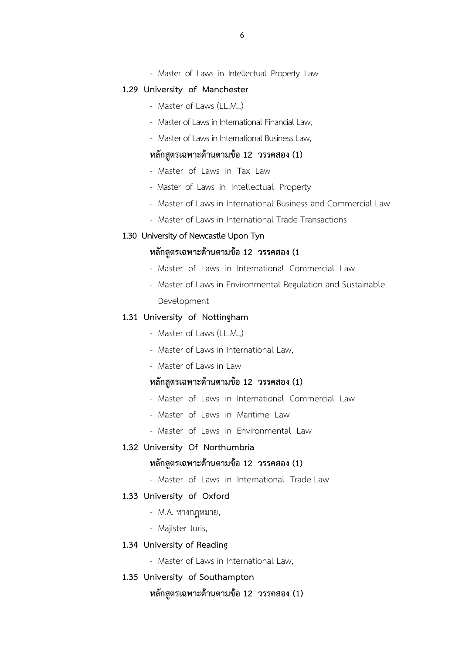- Master of Laws in Intellectual Property Law

#### **1.29 University of Manchester**

- Master of Laws (LL.M.,)
- Master of Laws in International Financial Law,
- Master of Laws in International Business Law,

## หลักสูตรเฉพาะด้านตามข้อ 12 วรรคสอง (1)

- Master of Laws in Tax Law
- Master of Laws in Intellectual Property
- Master of Laws in International Business and Commercial Law
- Master of Laws in International Trade Transactions

### **1.30 University of Newcastle Upon Tyn**

## **หลักสูตรเฉพาะด,านตามข,อ 12 วรรคสอง (1**

- Master of Laws in International Commercial Law
- Master of Laws in Environmental Regulation and Sustainable Development

#### **1.31 University of Nottingham**

- Master of Laws (LL.M.,)
- Master of Laws in International Law,
- Master of Laws in Law

# หลักสูตรเฉพาะด้านตามข้อ 12 วรรคสอง (1)

- Master of Laws in International Commercial Law
- Master of Laws in Maritime Law
- Master of Laws in Environmental Law

### **1.32 University Of Northumbria**

### **หลักสูตรเฉพาะด,านตามข,อ 12 วรรคสอง (1)**

- Master of Laws in International Trade Law

## **1.33 University of Oxford**

- M.A. ทางกฎหมาย,
- Majister Juris,

#### **1.34 University of Reading**

- Master of Laws in International Law,
- **1.35 University of Southampton**

## หลักสูตรเฉพาะด้านตามข้อ 12 วรรคสอง (1)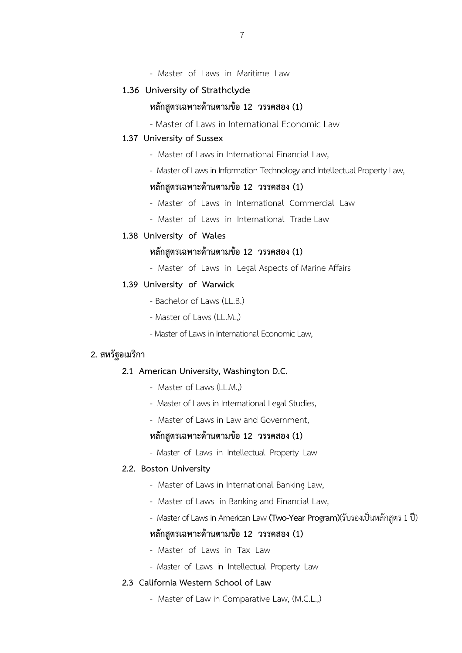- Master of Laws in Maritime Law

## **1.36 University of Strathclyde**

# หลักสูตรเฉพาะด้านตามข้อ 12 วรรคสอง (1)

- Master of Laws in International Economic Law

### **1.37 University of Sussex**

- Master of Laws in International Financial Law,
- Master of Laws in Information Technology and Intellectual Property Law,

### หลักสูตรเฉพาะด้านตามข้อ 12 วรรคสอง (1)

- Master of Laws in International Commercial Law
- Master of Laws in International Trade Law
- **1.38 University of Wales**

## **หลักสูตรเฉพาะด,านตามข,อ 12 วรรคสอง (1)**

- Master of Laws in Legal Aspects of Marine Affairs

## **1.39 University of Warwick**

- Bachelor of Laws (LL.B.)
- Master of Laws (LL.M.,)
- Master of Laws in International Economic Law,

## **2. สหรัฐอเมริกา**

#### **2.1 American University, Washington D.C.**

- Master of Laws (LL.M.,)
- Master of Laws in International Legal Studies,
- Master of Laws in Law and Government,

## หลักสูตรเฉพาะด้านตามข้อ 12 วรรคสอง (1)

- Master of Laws in Intellectual Property Law

#### **2.2. Boston University**

- Master of Laws in International Banking Law,
- Master of Laws in Banking and Financial Law,
- Master of Laws in American Law (Two-Year Program)(รับรองเป็นหลักสูตร 1 ปี)

### หลักสูตรเฉพาะด้านตามข้อ 12 วรรคสอง (1)

- Master of Laws in Tax Law
- Master of Laws in Intellectual Property Law

#### **2.3 California Western School of Law**

- Master of Law in Comparative Law, (M.C.L.,)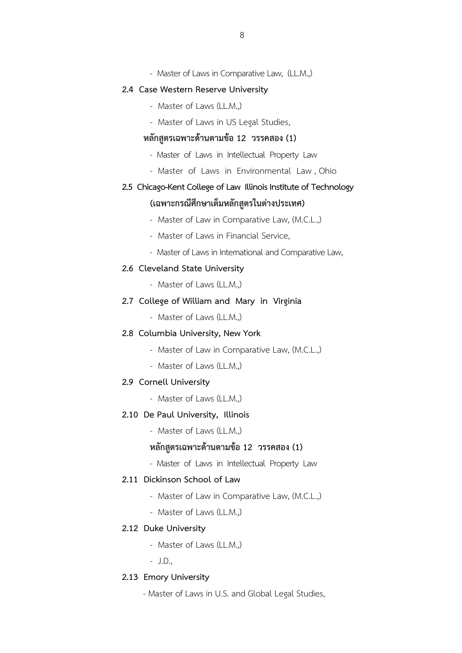- Master of Laws in Comparative Law, (LL.M.,)

#### **2.4 Case Western Reserve University**

- Master of Laws (LL.M.,)
- Master of Laws in US Legal Studies,

### หลักสูตรเฉพาะด้านตามข้อ 12 วรรคสอง (1)

- Master of Laws in Intellectual Property Law
- Master of Laws in Environmental Law , Ohio

# **2.5 Chicago-Kent College of Law Illinois Institute of Technology**

# (เฉพาะกรณีศึกษาเต็มหลักสูตรในต่างประเทศ)

- Master of Law in Comparative Law, (M.C.L.,)
- Master of Laws in Financial Service,
- Master of Laws in International and Comparative Law,

#### **2.6 Cleveland State University**

- Master of Laws (LL.M.,)

## **2.7 College of William and Mary in Virginia**

- Master of Laws (LL.M.,)

#### **2.8 Columbia University, New York**

- Master of Law in Comparative Law, (M.C.L.,)
- Master of Laws (LL.M.,)

## **2.9 Cornell University**

- Master of Laws (LL.M.)

#### **2.10 De Paul University, Illinois**

- Master of Laws (LL.M.)

## **หลักสูตรเฉพาะด,านตามข,อ 12 วรรคสอง (1)**

- Master of Laws in Intellectual Property Law

## **2.11 Dickinson School of Law**

- Master of Law in Comparative Law, (M.C.L.,)
- Master of Laws (LL.M.,)

#### **2.12 Duke University**

- Master of Laws (LL.M.,)
- J.D.,

#### **2.13 Emory University**

- Master of Laws in U.S. and Global Legal Studies,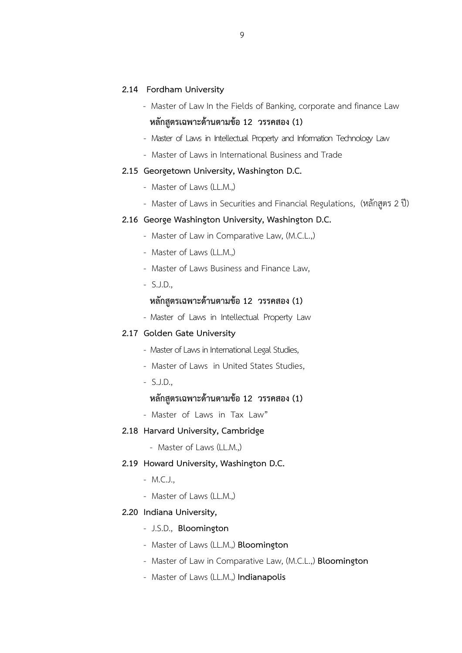#### **2.14 Fordham University**

- Master of Law In the Fields of Banking, corporate and finance Law หลักสูตรเฉพาะด้านตามข้อ 12 วรรคสอง (1)
- Master of Laws in Intellectual Property and Information Technology Law
- Master of Laws in International Business and Trade

#### **2.15 Georgetown University, Washington D.C.**

- Master of Laws (LL.M.,)
- Master of Laws in Securities and Financial Regulations, (หลักสูตร 2 ปี)

### **2.16 George Washington University, Washington D.C.**

- Master of Law in Comparative Law, (M.C.L.,)
- Master of Laws (LL.M.,)
- Master of Laws Business and Finance Law,
- S.J.D.,

## **หลักสูตรเฉพาะด,านตามข,อ 12 วรรคสอง (1)**

- Master of Laws in Intellectual Property Law

#### **2.17 Golden Gate University**

- Master of Laws in International Legal Studies,
- Master of Laws in United States Studies,
- S.J.D.,

## **หลักสูตรเฉพาะด,านตามข,อ 12 วรรคสอง (1)**

- Master of Laws in Tax Law"

#### **2.18 Harvard University, Cambridge**

- Master of Laws (LL.M.,)

#### **2.19 Howard University, Washington D.C.**

- M.C.J.,
- Master of Laws (LL.M.,)

#### **2.20 Indiana University,**

- J.S.D., **Bloomington**
- Master of Laws (LL.M.,) **Bloomington**
- Master of Law in Comparative Law, (M.C.L.,) **Bloomington**
- Master of Laws (LL.M.,) **Indianapolis**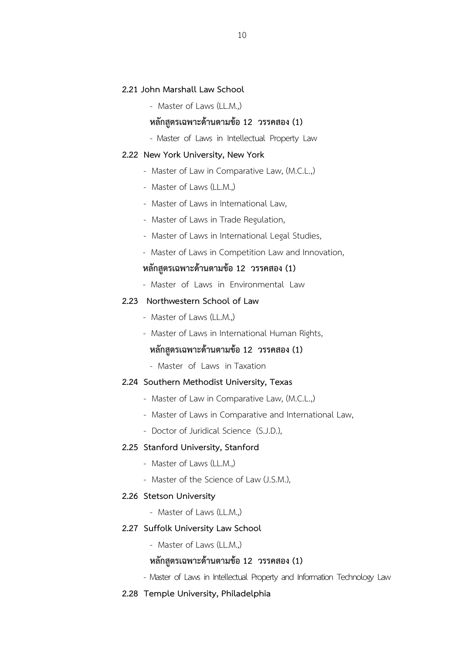#### **2.21 John Marshall Law School**

- Master of Laws (LL.M.,)

## หลักสูตรเฉพาะด้านตามข้อ 12 วรรคสอง (1)

- Master of Laws in Intellectual Property Law

#### **2.22 New York University, New York**

- Master of Law in Comparative Law, (M.C.L.,)
- Master of Laws (LL.M.,)
- Master of Laws in International Law,
- Master of Laws in Trade Regulation,
- Master of Laws in International Legal Studies,
- Master of Laws in Competition Law and Innovation,

## หลักสูตรเฉพาะด้านตามข้อ 12 วรรคสอง (1)

- Master of Laws in Environmental Law

## **2.23 Northwestern School of Law**

- Master of Laws (LL.M.,)
- Master of Laws in International Human Rights,

## หลักสูตรเฉพาะด้านตามข้อ 12 วรรคสอง (1)

- Master of Laws in Taxation

#### **2.24 Southern Methodist University, Texas**

- Master of Law in Comparative Law, (M.C.L.,)
- Master of Laws in Comparative and International Law,
- Doctor of Juridical Science (S.J.D.),

#### **2.25 Stanford University, Stanford**

- Master of Laws (LL.M.)
- Master of the Science of Law (J.S.M.),

#### **2.26 Stetson University**

- Master of Laws (LL.M.,)

#### **2.27 Suffolk University Law School**

- Master of Laws (LL.M.,)

## **หลักสูตรเฉพาะด,านตามข,อ 12 วรรคสอง (1)**

- Master of Laws in Intellectual Property and Information Technology Law

#### **2.28 Temple University, Philadelphia**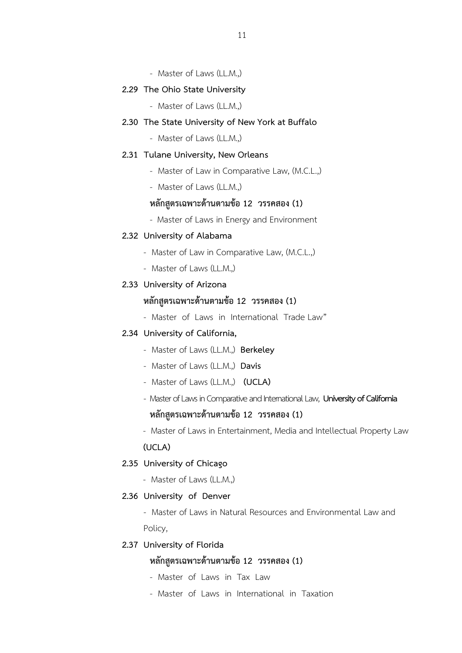- Master of Laws (LL.M.,)

#### **2.29 The Ohio State University**

- Master of Laws (LL.M.,)

## **2.30 The State University of New York at Buffalo**

- Master of Laws (LL.M.,)

#### **2.31 Tulane University, New Orleans**

- Master of Law in Comparative Law, (M.C.L.,)
- Master of Laws (LL.M.,)

## **หลักสูตรเฉพาะด,านตามข,อ 12 วรรคสอง (1)**

- Master of Laws in Energy and Environment

### **2.32 University of Alabama**

- Master of Law in Comparative Law, (M.C.L.,)
- Master of Laws (LL.M.,)

## **2.33 University of Arizona**

## **หลักสูตรเฉพาะด,านตามข,อ 12 วรรคสอง (1)**

- Master of Laws in International Trade Law"

### **2.34 University of California,**

- Master of Laws (LL.M.,) **Berkeley**
- Master of Laws (LL.M.,) **Davis**
- Master of Laws (LL.M.,) **(UCLA)**
- Master of Laws in Comparative and International Law, **University of California**

# หลักสูตรเฉพาะด้านตามข้อ 12 วรรคสอง (1)

- Master of Laws in Entertainment, Media and Intellectual Property Law

**(UCLA)**

## **2.35 University of Chicago**

- Master of Laws (LL.M.,)

#### **2.36 University of Denver**

- Master of Laws in Natural Resources and Environmental Law and Policy,

## **2.37 University of Florida**

# **หลักสูตรเฉพาะด,านตามข,อ 12 วรรคสอง (1)**

- Master of Laws in Tax Law
- Master of Laws in International in Taxation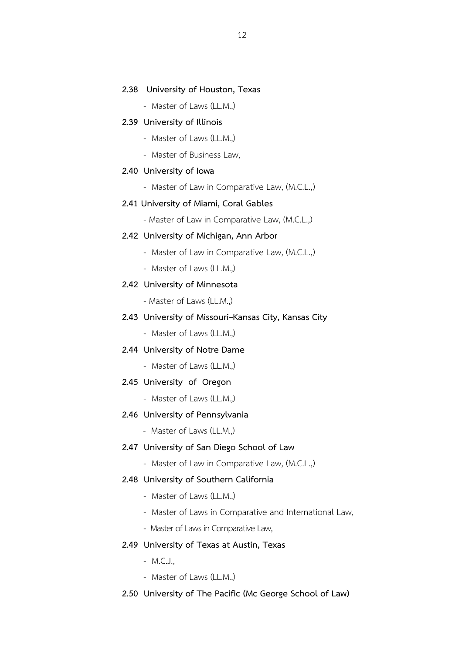#### **2.38 University of Houston, Texas**

- Master of Laws (LL.M.,)

#### **2.39 University of Illinois**

- Master of Laws (LL.M.,)
- Master of Business Law,

#### **2.40 University of Iowa**

- Master of Law in Comparative Law, (M.C.L.,)

#### **2.41 University of Miami, Coral Gables**

- Master of Law in Comparative Law, (M.C.L.,)

#### **2.42 University of Michigan, Ann Arbor**

- Master of Law in Comparative Law, (M.C.L.,)
- Master of Laws (LL.M.,)

## **2.42 University of Minnesota**

- Master of Laws (LL.M.,)

## **2.43 University of Missouri–Kansas City, Kansas City**

- Master of Laws (LL.M.,)

## **2.44 University of Notre Dame**

- Master of Laws (LL.M.,)

#### **2.45 University of Oregon**

- Master of Laws (LL.M.)

### **2.46 University of Pennsylvania**

- Master of Laws (LL.M.)

#### **2.47 University of San Diego School of Law**

- Master of Law in Comparative Law, (M.C.L.,)

## **2.48 University of Southern California**

- Master of Laws (LL.M.,)
- Master of Laws in Comparative and International Law,
- Master of Laws in Comparative Law,

### **2.49 University of Texas at Austin, Texas**

- M.C.J.,
- Master of Laws (LL.M.,)

#### **2.50 University of The Pacific (Mc George School of Law)**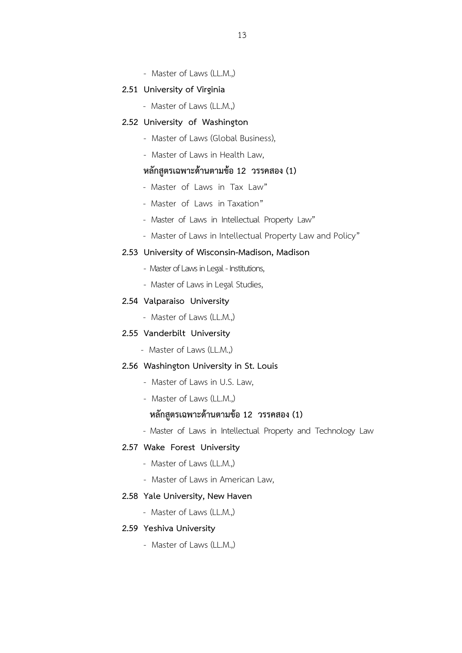- Master of Laws (LL.M.,)

#### **2.51 University of Virginia**

- Master of Laws (LL.M.,)

#### **2.52 University of Washington**

- Master of Laws (Global Business),
- Master of Laws in Health Law,

## **หลักสูตรเฉพาะด,านตามข,อ 12 วรรคสอง (1)**

- Master of Laws in Tax Law"
- Master of Laws in Taxation"
- Master of Laws in Intellectual Property Law"
- Master of Law*s* in Intellectual Property Law and Policy"

#### **2.53 University of Wisconsin-Madison, Madison**

- Master of Laws in Legal Institutions,
- Master of Laws in Legal Studies,

## **2.54 Valparaiso University**

- Master of Laws (LL.M.,)

## **2.55 Vanderbilt University**

- Master of Laws (LL.M.,)

#### **2.56 Washington University in St. Louis**

- Master of Laws in U.S. Law,
- Master of Laws (LL.M.,)

# หลักสูตรเฉพาะด้านตามข้อ 12 วรรคสอง (1)

- Master of Laws in Intellectual Property and Technology Law

#### **2.57 Wake Forest University**

- Master of Laws (LL.M.)
- Master of Laws in American Law,

### **2.58 Yale University, New Haven**

- Master of Laws (LL.M.,)

#### **2.59 Yeshiva University**

- Master of Laws (LL.M.,)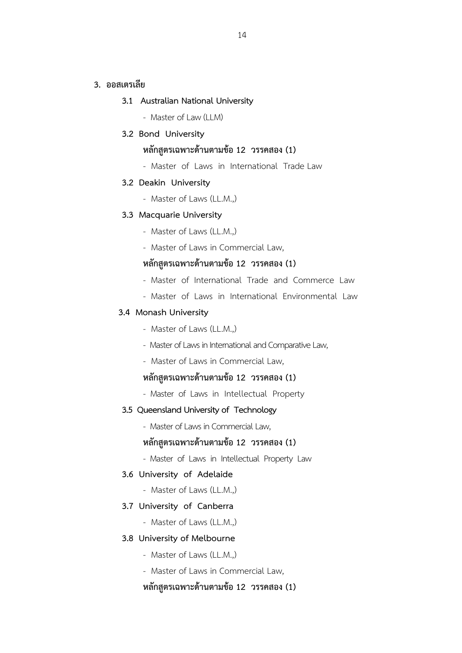## **3. ออสเตรเลีย**

## **3.1 Australian National University**

- Master of Law (LLM)

## **3.2 Bond University**

# หลักสูตรเฉพาะด้านตามข้อ 12 วรรคสอง (1)

- Master of Laws in International Trade Law

#### **3.2 Deakin University**

- Master of Laws (LL.M.,)

#### **3.3 Macquarie University**

- Master of Laws (LL.M.,)
- Master of Laws in Commercial Law,

## หลักสูตรเฉพาะด้านตามข้อ 12 วรรคสอง (1)

- Master of International Trade and Commerce Law
- Master of Laws in International Environmental Law

### **3.4 Monash University**

- Master of Laws (LL.M.,)
- Master of Laws in International and Comparative Law,
- Master of Laws in Commercial Law,

# หลักสูตรเฉพาะด้านตามข้อ 12 วรรคสอง (1)

- Master of Laws in Intellectual Property

#### **3.5 Queensland University of Technology**

- Master of Laws in Commercial Law,

### หลักสูตรเฉพาะด้านตามข้อ 12 วรรคสอง (1)

- Master of Laws in Intellectual Property Law

#### **3.6 University of Adelaide**

- Master of Laws (LL.M.,)

#### **3.7 University of Canberra**

- Master of Laws (LL.M.,)

#### **3.8 University of Melbourne**

- Master of Laws (LL.M.,)
- Master of Laws in Commercial Law,

## หลักสูตรเฉพาะด้านตามข้อ 12 วรรคสอง (1)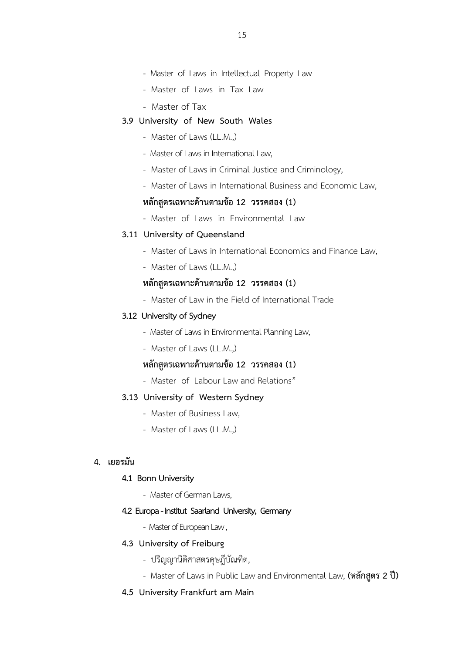- Master of Laws in Intellectual Property Law
- Master of Laws in Tax Law
- Master of Tax
- **3.9 University of New South Wales** 
	- Master of Laws (LL.M.,)
	- Master of Laws in International Law,
	- Master of Laws in Criminal Justice and Criminology,
	- Master of Laws in International Business and Economic Law,

## หลักสูตรเฉพาะด้านตามข้อ 12 วรรคสอง (1)

- Master of Laws in Environmental Law

## **3.11 University of Queensland**

- Master of Laws in International Economics and Finance Law,
- Master of Laws (LL.M.,)

# **หลักสูตรเฉพาะด,านตามข,อ 12 วรรคสอง (1)**

- Master of Law in the Field of International Trade

### **3.12 University of Sydney**

- Master of Laws in Environmental Planning Law,
- Master of Laws (LL.M.)

# หลักสูตรเฉพาะด้านตามข้อ 12 วรรคสอง (1)

- Master of Labour Law and Relations"

## **3.13 University of Western Sydney**

- Master of Business Law,
- Master of Laws (LL.M.,)

## **4. เยอรมัน**

#### **4.1 Bonn University**

- Master of German Laws,

#### **4.2 Europa - Institut Saarland University, Germany**

- Master of European Law ,

## **4.3 University of Freiburg**

- ปริญญานิติศาสตรดุษฎีบัณฑิต,
- Master of Laws in Public Law and Environmental Law, (หลักสูตร 2 ปี)

### **4.5 University Frankfurt am Main**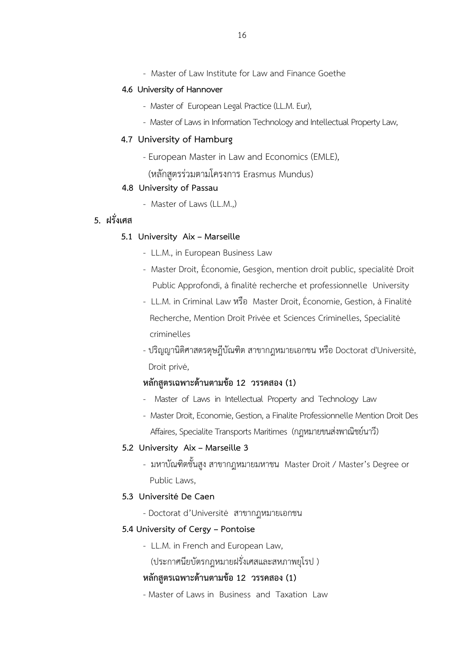- Master of Law Institute for Law and Finance Goethe

#### **4.6 University of Hannover**

- Master of European Legal Practice (LL.M. Eur),
- Master of Laws in Information Technology and Intellectual Property Law,

### **4.7** University of Hamburg

- European Master in Law and Economics (EMLE),
	- (หลักสูตรร่วมตามโครงการ Erasmus Mundus)

### **4.8 University of Passau**

- Master of Laws (LL.M.,)

# **5. ฝรั่งเศส**

### **5.1 University Aix – Marseille**

- LL.M., in European Business Law
- Master Droit, Économie, Gesgion, mention droit public, specialité Droit Public Approfondi, à finalité recherche et professionnelle University
- LL.M. in Criminal Law หรือ Master Droit, Économie, Gestion, à Finalité Recherche, Mention Droit Privée et Sciences Criminelles, Specialité criminelles
- ปริญญานิติศาสตรดุษฎีบัณฑิต สาขากฎหมายเอกชน หรือ Doctorat d'Université, Droit privé,

# หลักสูตรเฉพาะด้านตามข้อ 12 วรรคสอง (1)

- Master of Laws in Intellectual Property and Technology Law
- Master Droit, Economie, Gestion, a Finalite Professionnelle Mention Droit Des Affaires, Specialite Transports Maritimes (กฎหมายขนส่งพาณิชย์นาวี)

## **5.2 University Aix – Marseille 3**

- มหาบัณฑิตชั้นสูง สาขากฎหมายมหาชน Master Droit / Master's Degree or Public Laws,

### **5.3 Université De Caen**

- Doctorat d'Universitéสาขากฎหมายเอกชน

## **5.4 University of Cergy – Pontoise**

- LL.M. in French and European Law,
	- (ประกาศนียบัตรกฎหมายฝรั่งเศสและสหภาพยุโรป )

## **หลักสูตรเฉพาะด,านตามข,อ 12 วรรคสอง (1)**

- Master of Laws in Business and Taxation Law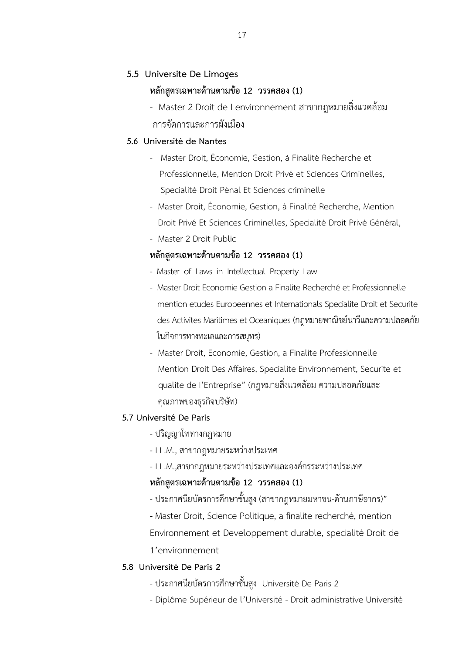## **5.5 Universite De Limoges**

## หลักสูตรเฉพาะด้านตามข้อ 12 วรรคสอง (1)

- Master 2 Droit de Lenvironnement สาขากฎหมายสิ่งแวดล้อม การจัดการและการผังเมือง

## **5.6 Université de Nantes**

- Master Droit, Économie, Gestion, à Finalité Recherche et Professionnelle, Mention Droit Privé et Sciences Criminelles, Specialité Droit Pénal Et Sciences criminelle
- Master Droit, Économie, Gestion, à Finalité Recherche, Mention Droit Privé Et Sciences Criminelles, Specialité Droit Privé Général,
- Master 2 Droit Public

## **หลักสูตรเฉพาะด,านตามข,อ 12 วรรคสอง (1)**

- Master of Laws in Intellectual Property Law
- Master Droit Economie Gestion a Finalite Recherché et Professionnelle mention etudes Europeennes et Internationals Specialite Droit et Securite des Activites Maritimes et Oceaniques (กฎหมายพาณิชย์นาวีและความปลอดภัย ในกิจการทางทะเลและการสมุทร)
- Master Droit, Economie, Gestion, a Finalite Professionnelle Mention Droit Des Affaires, Specialite Environnement, Securite et qualite de l'Entreprise" (กฎหมายสิ่งแวดล้อม ความปลอดภัยและ คุณภาพของธุรกิจบริษัท)

## **5.7 Université De Paris**

- ปริญญาโททางกฎหมาย
- LL.M., สาขากฎหมายระหว่างประเทศ
- LL.M.,สาขากฎหมายระหว่างประเทศและองค์กรระหว่างประเทศ

## **หลักสูตรเฉพาะด,านตามข,อ 12 วรรคสอง (1)**

- ประกาศนียบัตรการศึกษาชั้นสง (สาขากฎหมายมหาชน-ด้านภาษีอากร)"
- Master Droit, Science Politique, a finalite recherché, mention

Environnement et Developpement durable, specialité Droit de 1'environnement

## **5.8 Université De Paris 2**

- ประกาศนียบัตรการศึกษาชั้นสูง Université De Paris 2
- Diplôme Supérieur de l'Université Droit administrative Université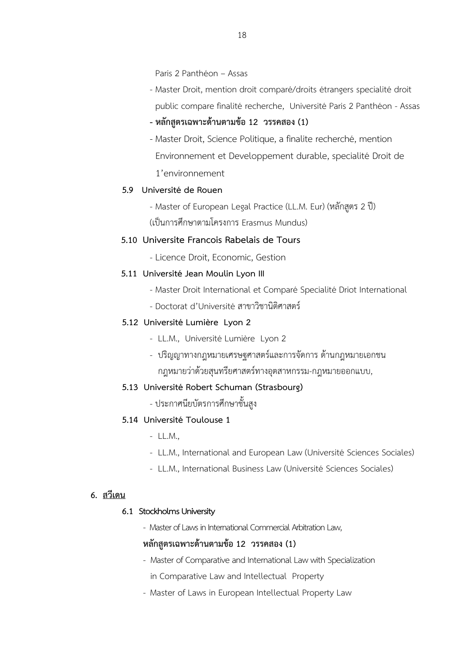Paris 2 Panthéon – Assas

- Master Droit, mention droit comparé/droits étrangers specialité droit public compare finalité recherche, Université Paris 2 Panthéon - Assas

## - หลักสูตรเฉพาะด้านตามข้อ 12 วรรคสอง (1)

- Master Droit, Science Politique, a finalite recherché, mention Environnement et Developpement durable, specialité Droit de 1'environnement

## **5.9 Université de Rouen**

- Master of European Legal Practice (LL.M. Eur) (หลักสูตร 2 ปี)
- (เป็นการศึกษาตามโครงการ Erasmus Mundus)

## **5.10** Universite Francois Rabelais de Tours

- Licence Droit, Economic, Gestion

## **5.11 Université Jean Moulin Lyon III**

- Master Droit International et Comparé Specialité Driot International
- Doctorat d'Université สาขาวิชานิติศาสตร์

## **5.12 Université Lumière Lyon 2**

- LL.M., Université Lumière Lyon 2
- ปริญญาทางกฎหมายเศรษฐศาสตร์และการจัดการ ด้านกฎหมายเอกชน กฎหมายว่าด้วยสุนทรียศาสตร์ทางอุตสาหกรรม-กฎหมายออกแบบ,

## **5.13 Université Robert Schuman (Strasbourg)**

- ประกาศนียบัตรการศึกษาชั้นสูง

## **5.14 Université Toulouse 1**

- LL.M.,
- LL.M., International and European Law (Université Sciences Sociales)
- LL.M., International Business Law (Université Sciences Sociales)

## **6. สวีเดน**

## **6.1 Stockholms University**

- Master of Laws in International Commercial Arbitration Law,

## **หลักสูตรเฉพาะด,านตามข,อ 12 วรรคสอง (1)**

- Master of Comparative and International Law with Specialization
	- in Comparative Law and Intellectual Property
- Master of Laws in European Intellectual Property Law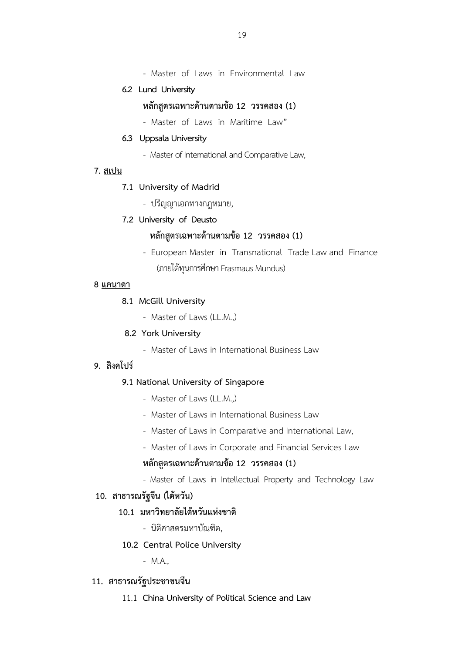- Master of Laws in Environmental Law

## **6.2 Lund University**

# หลักสูตรเฉพาะด้านตามข้อ 12 วรรคสอง (1)

- Master of Laws in Maritime Law"

### **6.3 Uppsala University**

- Master of International and Comparative Law,

### **7. สเปน**

### **7.1 University of Madrid**

- ปริญญาเอกทางกฎหมาย,

## **7.2 University of Deusto**

# **หลักสูตรเฉพาะด,านตามข,อ 12 วรรคสอง (1)**

 - European Master in Transnational Trade Law and Finance (ภายใต้ทุนการศึกษา Erasmaus Mundus)

## **8 แคนาดา**

## **8.1 McGill University**

- Master of Laws (LL.M.,)

## **8.2 York University**

- Master of Laws in International Business Law

## 9. สิงคโปร์

## **9.1 National University of Singapore**

- Master of Laws (LL.M.)
- Master of Laws in International Business Law
- Master of Laws in Comparative and International Law,
- Master of Laws in Corporate and Financial Services Law

## หลักสตรเฉพาะด้านตามข้อ 12 วรรคสอง (1)

- Master of Laws in Intellectual Property and Technology Law

## 10. สาธารณรัฐจีน (ไต้หวัน)

## 10.1 มหาวิทยาลัยไต้หวันแห่งชาติ

- นิติศาสตรมหาบัณฑิต,

### **10.2 Central Police University**

- M.A.,

# **11. สาธารณรัฐประชาชนจีน**

11.1 China University of Political Science and Law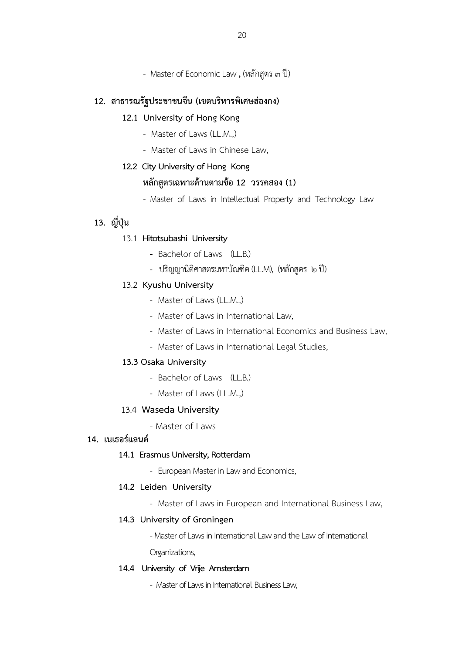- Master of Economic Law, (หลักสูตร ๓ ปี)

## 12. สาธารณรัฐประชาชนจีน (เขตบริหารพิเศษฮ่องกง)

### **12.1 University of Hong Kong**

- Master of Laws (LL.M.)
- Master of Laws in Chinese Law,

### **12.2 City University of Hong Kong**

### **หลักสูตรเฉพาะด,านตามข,อ 12 วรรคสอง (1)**

- Master of Laws in Intellectual Property and Technology Law

# **13. ญี่ปุ}น**

### 13.1 **Hitotsubashi University**

- Bachelor of Laws (LL.B.)
- ปริญญานิติศาสตรมหาบัณฑิต (LL.M), (หลักสูตร ๒ ปี)

### 13.2 **Kyushu University**

- Master of Laws (LL.M.,)
- Master of Laws in International Law,
- Master of Laws in International Economics and Business Law,
- Master of Laws in International Legal Studies,

#### **13.3 Osaka University**

- Bachelor of Laws (LL.B.)
- Master of Laws (LL.M.,)

#### 13.4 Waseda University

- Master of Laws

## 14. เนเธอร์แลนด์

#### **14.1 Erasmus University, Rotterdam**

- European Master in Law and Economics,

#### **14.2 Leiden University**

- Master of Laws in European and International Business Law,

#### **14.3 University of Groningen**

- Master of Laws in International Law and the Law of International

Organizations,

#### **14.4 University of Vrije Amsterdam**

- Master of Laws in International Business Law,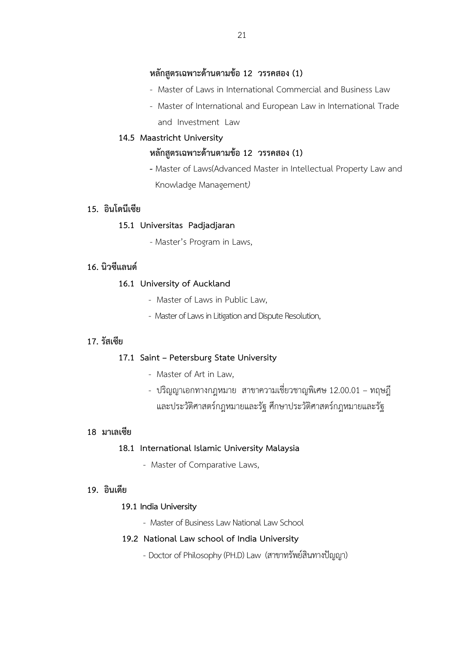## หลักสูตรเฉพาะด้านตามข้อ 12 วรรคสอง (1)

- Master of Laws in International Commercial and Business Law
- Master of International and European Law in International Trade and Investment Law

## **14.5 Maastricht University**

# หลักสูตรเฉพาะด้านตามข้อ 12 วรรคสอง (1)

 *-* Master of Laws(Advanced Master in Intellectual Property Law and Knowladge Management*)*

## **15. อินโดนีเซีย**

## **15.1 Universitas Padjadjaran**

- Master's Program in Laws,

## 16. นิวซีแลนด์

## **16.1 University of Auckland**

- Master of Laws in Public Law,
- Master of Laws in Litigation and Dispute Resolution,

## **17. รัสเซีย**

## **17.1 Saint – Petersburg State University**

- Master of Art in Law,
- ปริญญาเอกทางกฎหมาย สาขาความเชี่ยวชาญพิเศษ 12.00.01 ทฤษฎี และประวัติศาสตร์กฎหมายและรัฐ ศึกษาประวัติศาสตร์กฎหมายและรัฐ

## **18 มาเลเซีย**

## **18.1 International Islamic University Malaysia**

- Master of Comparative Laws,

## **19. อินเดีย**

## **19.1 India University**

- Master of Business Law National Law School

## **19.2 National Law school of India University**

- Doctor of Philosophy (PH.D) Law (สาขาทรัพย์สินทางปัญญา)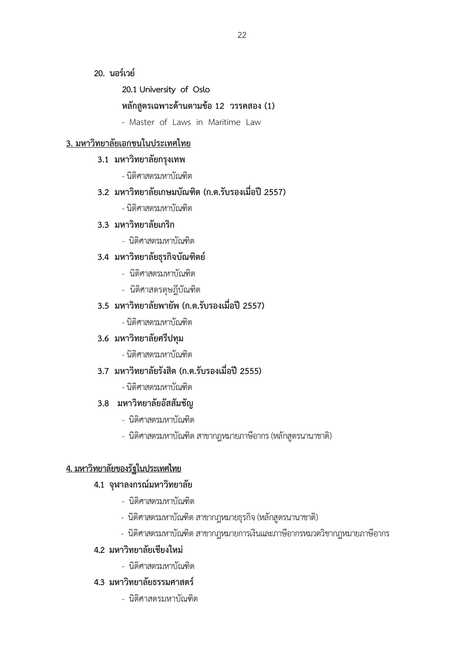**20. นอร์เวย์** 

 **20.1 University of Oslo** 

# หลักสูตรเฉพาะด้านตามข้อ 12 วรรคสอง (1)

- Master of Laws in Maritime Law

# **3. มหาวิทยาลัยเอกชนในประเทศไทย**

- **3.1 มหาวิทยาลัยกรุงเทพ** 
	- นิติศาสตรมหาบัณฑิต

# **3.2 มหาวิทยาลัยเกษมบัณฑิต (ก.ต.รับรองเมื่อปr 2557)**

- นิติศาสตรมหาบัณฑิต

# **3.3 มหาวิทยาลัยเกริก**

- นิติศาสตรมหาบัณฑิต

# **3.4 มหาวิทยาลัยธุรกิจบัณฑิตยw**

- นิติศาสตรมหาบัณฑิต
- นิติศาสตรดุษฎีบัณฑิต

# **3.5 มหาวิทยาลัยพายัพ (ก.ต.รับรองเมื่อปr 2557)**

- นิติศาสตรมหาบัณฑิต

## **3.6 มหาวิทยาลัยศรีปทุม**

- นิติศาสตรมหาบัณฑิต

# **3.7 มหาวิทยาลัยรังสิต (ก.ต.รับรองเมื่อปr 2555)**

- นิติศาสตรมหาบัณฑิต

## **3.8 มหาวิทยาลัยอัสสัมชัญ**

- นิติศาสตรมหาบัณฑิต
- นิติศาสตรมหาบัณฑิต สาขากฎหมายภาษีอากร (หลักสูตรนานาชาติ)

# **4. มหาวิทยาลัยของรัฐในประเทศไทย**

# **4.1 จุฬาลงกรณwมหาวิทยาลัย**

- นิติศาสตรมหาบัณฑิต
- นิติศาสตรมหาบัณฑิต สาขากฎหมายธุรกิจ (หลักสูตรนานาชาติ)
- นิติศาสตรมหาบัณฑิต สาขากฎหมายการเงินและภาษีอากรหมวดวิชากฎหมายภาษีอากร

# 4.2 มหาวิทยาลัยเชียงใหม่

- นิติศาสตรมหาบัณฑิต

# **4.3 มหาวิทยาลัยธรรมศาสตรw**

- นิติศาสตรมหาบัณฑิต